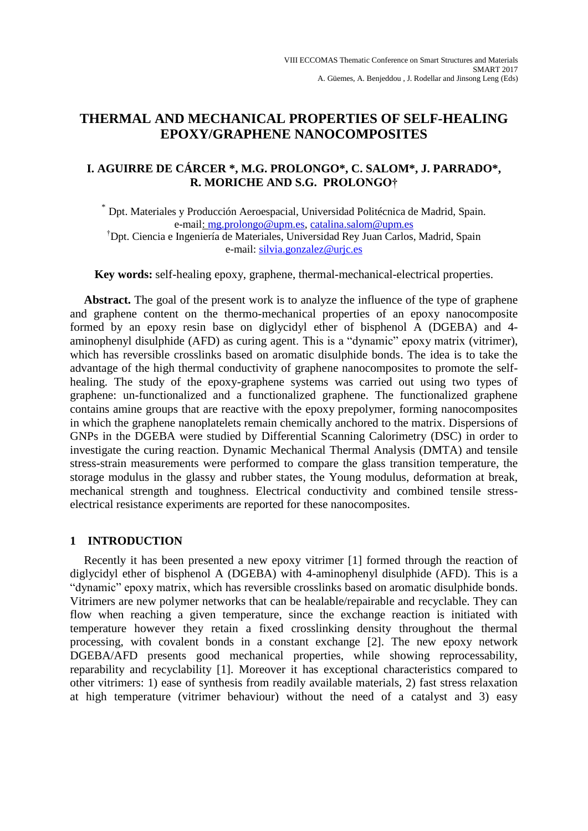# **THERMAL AND MECHANICAL PROPERTIES OF SELF-HEALING EPOXY/GRAPHENE NANOCOMPOSITES**

# **I. AGUIRRE DE CÁRCER \*, M.G. PROLONGO\*, C. SALOM\*, J. PARRADO\*, R. MORICHE AND S.G. PROLONGO†**

\* Dpt. Materiales y Producción Aeroespacial, Universidad Politécnica de Madrid, Spain. e-mail: mg.prolongo@upm.es, catalina.salom@upm.es †Dpt. Ciencia e Ingeniería de Materiales, Universidad Rey Juan Carlos, Madrid, Spain e-mail: [silvia.gonzalez@urjc.es](mailto:silvia.gonzalez@urjc.es)

**Key words:** self-healing epoxy, graphene, thermal-mechanical-electrical properties.

Abstract. The goal of the present work is to analyze the influence of the type of graphene and graphene content on the thermo-mechanical properties of an epoxy nanocomposite formed by an epoxy resin base on diglycidyl ether of bisphenol A (DGEBA) and 4 aminophenyl disulphide (AFD) as curing agent. This is a "dynamic" epoxy matrix (vitrimer), which has reversible crosslinks based on aromatic disulphide bonds. The idea is to take the advantage of the high thermal conductivity of graphene nanocomposites to promote the selfhealing. The study of the epoxy-graphene systems was carried out using two types of graphene: un-functionalized and a functionalized graphene. The functionalized graphene contains amine groups that are reactive with the epoxy prepolymer, forming nanocomposites in which the graphene nanoplatelets remain chemically anchored to the matrix. Dispersions of GNPs in the DGEBA were studied by Differential Scanning Calorimetry (DSC) in order to investigate the curing reaction. Dynamic Mechanical Thermal Analysis (DMTA) and tensile stress-strain measurements were performed to compare the glass transition temperature, the storage modulus in the glassy and rubber states, the Young modulus, deformation at break, mechanical strength and toughness. Electrical conductivity and combined tensile stresselectrical resistance experiments are reported for these nanocomposites.

# **1 INTRODUCTION**

Recently it has been presented a new epoxy vitrimer [1] formed through the reaction of diglycidyl ether of bisphenol A (DGEBA) with 4-aminophenyl disulphide (AFD). This is a "dynamic" epoxy matrix, which has reversible crosslinks based on aromatic disulphide bonds. Vitrimers are new polymer networks that can be healable/repairable and recyclable. They can flow when reaching a given temperature, since the exchange reaction is initiated with temperature however they retain a fixed crosslinking density throughout the thermal processing, with covalent bonds in a constant exchange [2]. The new epoxy network DGEBA/AFD presents good mechanical properties, while showing reprocessability, reparability and recyclability [1]. Moreover it has exceptional characteristics compared to other vitrimers: 1) ease of synthesis from readily available materials, 2) fast stress relaxation at high temperature (vitrimer behaviour) without the need of a catalyst and 3) easy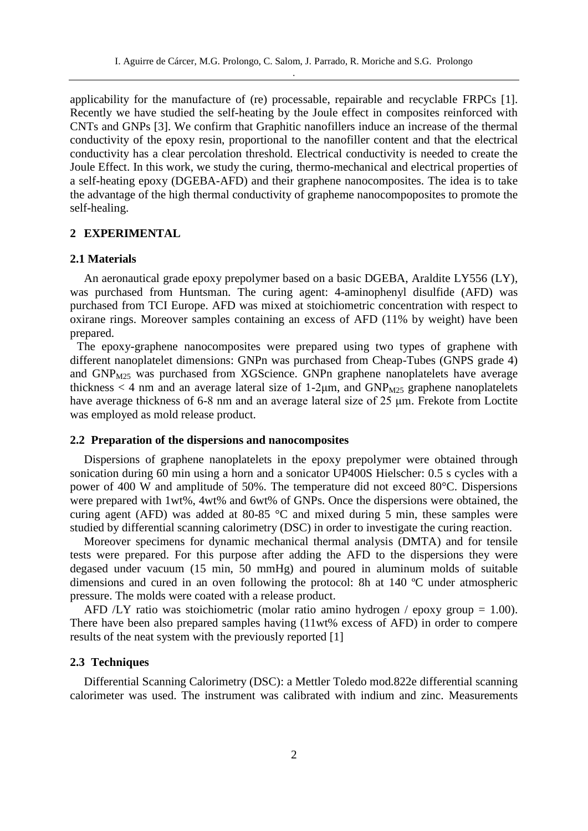applicability for the manufacture of (re) processable, repairable and recyclable FRPCs [1]. Recently we have studied the self-heating by the Joule effect in composites reinforced with CNTs and GNPs [3]. We confirm that Graphitic nanofillers induce an increase of the thermal conductivity of the epoxy resin, proportional to the nanofiller content and that the electrical conductivity has a clear percolation threshold. Electrical conductivity is needed to create the Joule Effect. In this work, we study the curing, thermo-mechanical and electrical properties of a self-heating epoxy (DGEBA-AFD) and their graphene nanocomposites. The idea is to take the advantage of the high thermal conductivity of grapheme nanocompoposites to promote the self-healing.

# **2 EXPERIMENTAL**

#### **2.1 Materials**

An aeronautical grade epoxy prepolymer based on a basic DGEBA, Araldite LY556 (LY), was purchased from Huntsman. The curing agent: 4-aminophenyl disulfide (AFD) was purchased from TCI Europe. AFD was mixed at stoichiometric concentration with respect to oxirane rings. Moreover samples containing an excess of AFD (11% by weight) have been prepared.

The epoxy-graphene nanocomposites were prepared using two types of graphene with different nanoplatelet dimensions: GNPn was purchased from Cheap-Tubes (GNPS grade 4) and GNP<sub>M25</sub> was purchased from XGScience. GNPn graphene nanoplatelets have average thickness  $<$  4 nm and an average lateral size of 1-2 $\mu$ m, and GNP<sub>M25</sub> graphene nanoplatelets have average thickness of 6-8 nm and an average lateral size of 25 μm. Frekote from Loctite was employed as mold release product.

#### **2.2 Preparation of the dispersions and nanocomposites**

Dispersions of graphene nanoplatelets in the epoxy prepolymer were obtained through sonication during 60 min using a horn and a sonicator UP400S Hielscher: 0.5 s cycles with a power of 400 W and amplitude of 50%. The temperature did not exceed 80°C. Dispersions were prepared with 1wt%, 4wt% and 6wt% of GNPs. Once the dispersions were obtained, the curing agent (AFD) was added at 80-85 °C and mixed during 5 min, these samples were studied by differential scanning calorimetry (DSC) in order to investigate the curing reaction.

Moreover specimens for dynamic mechanical thermal analysis (DMTA) and for tensile tests were prepared. For this purpose after adding the AFD to the dispersions they were degased under vacuum (15 min, 50 mmHg) and poured in aluminum molds of suitable dimensions and cured in an oven following the protocol: 8h at 140 ºC under atmospheric pressure. The molds were coated with a release product.

AFD /LY ratio was stoichiometric (molar ratio amino hydrogen / epoxy group = 1.00). There have been also prepared samples having (11wt% excess of AFD) in order to compere results of the neat system with the previously reported [1]

## **2.3 Techniques**

Differential Scanning Calorimetry (DSC): a Mettler Toledo mod.822e differential scanning calorimeter was used. The instrument was calibrated with indium and zinc. Measurements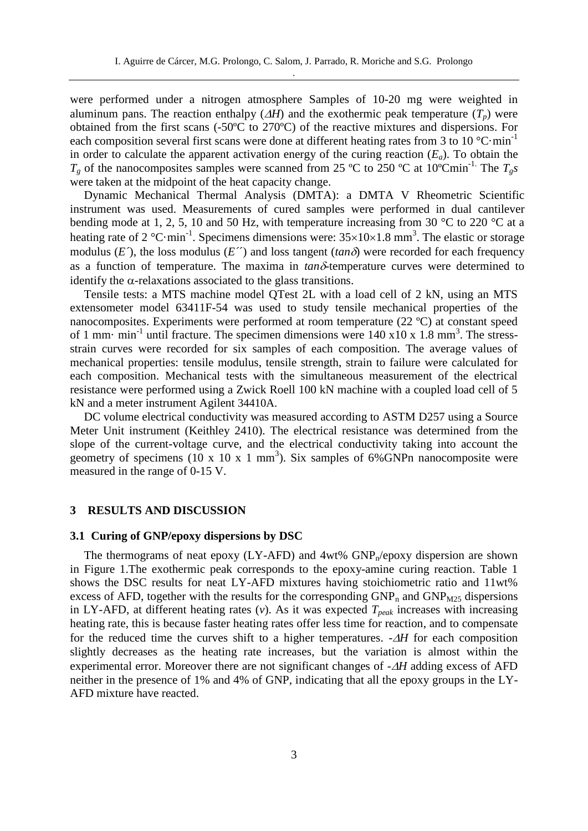were performed under a nitrogen atmosphere Samples of 10-20 mg were weighted in aluminum pans. The reaction enthalpy  $(AH)$  and the exothermic peak temperature  $(T_p)$  were obtained from the first scans (-50ºC to 270ºC) of the reactive mixtures and dispersions. For each composition several first scans were done at different heating rates from 3 to 10  $^{\circ}$ C·min<sup>-1</sup> in order to calculate the apparent activation energy of the curing reaction (*Ea*). To obtain the  $T_g$  of the nanocomposites samples were scanned from 25 °C to 250 °C at 10°Cmin<sup>-1.</sup> The  $T_g s$ were taken at the midpoint of the heat capacity change.

Dynamic Mechanical Thermal Analysis (DMTA): a DMTA V Rheometric Scientific instrument was used. Measurements of cured samples were performed in dual cantilever bending mode at 1, 2, 5, 10 and 50 Hz, with temperature increasing from 30  $\degree$ C to 220  $\degree$ C at a heating rate of 2 °C·min<sup>-1</sup>. Specimens dimensions were:  $35\times10\times1.8$  mm<sup>3</sup>. The elastic or storage modulus  $(E<sup>\prime</sup>)$ , the loss modulus  $(E<sup>\prime</sup>)$  and loss tangent ( $tan \delta$ ) were recorded for each frequency as a function of temperature. The maxima in  $tan\delta$ -temperature curves were determined to identify the  $\alpha$ -relaxations associated to the glass transitions.

Tensile tests: a MTS machine model QTest 2L with a load cell of 2 kN, using an MTS extensometer model 63411F-54 was used to study tensile mechanical properties of the nanocomposites. Experiments were performed at room temperature (22 ºC) at constant speed of 1 mm $\cdot$  min<sup>-1</sup> until fracture. The specimen dimensions were 140 x10 x 1.8 mm<sup>3</sup>. The stressstrain curves were recorded for six samples of each composition. The average values of mechanical properties: tensile modulus, tensile strength, strain to failure were calculated for each composition. Mechanical tests with the simultaneous measurement of the electrical resistance were performed using a Zwick Roell 100 kN machine with a coupled load cell of 5 kN and a meter instrument Agilent 34410A.

DC volume electrical conductivity was measured according to ASTM D257 using a Source Meter Unit instrument (Keithley 2410). The electrical resistance was determined from the slope of the current-voltage curve, and the electrical conductivity taking into account the geometry of specimens  $(10 \times 10 \times 1 \text{ mm}^3)$ . Six samples of 6%GNPn nanocomposite were measured in the range of 0-15 V.

#### **3 RESULTS AND DISCUSSION**

#### **3.1 Curing of GNP/epoxy dispersions by DSC**

The thermograms of neat epoxy (LY-AFD) and  $4wt\%$  GNP<sub>n</sub>/epoxy dispersion are shown in Figure 1.The exothermic peak corresponds to the epoxy-amine curing reaction. Table 1 shows the DSC results for neat LY-AFD mixtures having stoichiometric ratio and 11wt% excess of AFD, together with the results for the corresponding  $GNP_n$  and  $GNP_{M25}$  dispersions in LY-AFD, at different heating rates  $(v)$ . As it was expected  $T_{peak}$  increases with increasing heating rate, this is because faster heating rates offer less time for reaction, and to compensate for the reduced time the curves shift to a higher temperatures.  $-AH$  for each composition slightly decreases as the heating rate increases, but the variation is almost within the experimental error. Moreover there are not significant changes of - $\Delta H$  adding excess of AFD neither in the presence of 1% and 4% of GNP, indicating that all the epoxy groups in the LY-AFD mixture have reacted.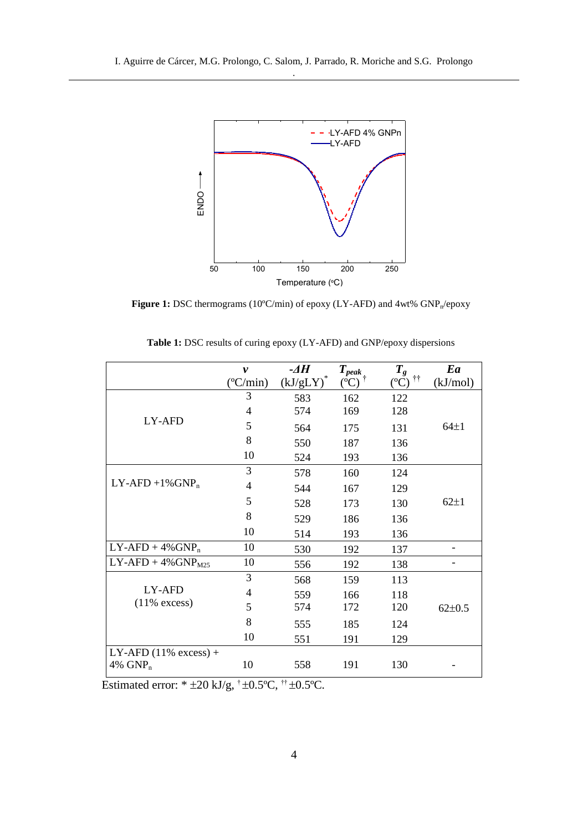

Figure 1: DSC thermograms (10°C/min) of epoxy (LY-AFD) and 4wt%  $\text{GNP}_n$ /epoxy

|                          | v                 | -4H            | $T_{peak}$ | $T_g$                         | Ea           |
|--------------------------|-------------------|----------------|------------|-------------------------------|--------------|
|                          | $(^{\circ}C/min)$ | $(kJ/gLY)^{2}$ | $({}^oC)$  | $\dagger\dagger$<br>$({}^oC)$ | (kJ/mol)     |
|                          | 3                 | 583            | 162        | 122                           |              |
|                          | $\overline{4}$    | 574            | 169        | 128                           |              |
| LY-AFD                   | 5                 | 564            | 175        | 131                           | $64\pm1$     |
|                          | 8                 | 550            | 187        | 136                           |              |
|                          | 10                | 524            | 193        | 136                           |              |
|                          | 3                 | 578            | 160        | 124                           |              |
| $LY-AFD + 1\% GNP_n$     | $\overline{4}$    | 544            | 167        | 129                           |              |
|                          | 5                 | 528            | 173        | 130                           | $62\pm1$     |
|                          | 8                 | 529            | 186        | 136                           |              |
|                          | 10                | 514            | 193        | 136                           |              |
| $LY-AFD + 4\% GNP_n$     | 10                | 530            | 192        | 137                           |              |
| $LY-AFD + 4\% GNPM25$    | 10                | 556            | 192        | 138                           |              |
|                          | 3                 | 568            | 159        | 113                           |              |
| LY-AFD                   | 4                 | 559            | 166        | 118                           |              |
| $(11\%$ excess)          | 5                 | 574            | 172        | 120                           | $62 \pm 0.5$ |
|                          | 8                 | 555            | 185        | 124                           |              |
|                          | 10                | 551            | 191        | 129                           |              |
| LY-AFD $(11\%$ excess) + |                   |                |            |                               |              |
| 4% $GNP_n$               | 10                | 558            | 191        | 130                           |              |

|  |  |  |  |  |  |  | <b>Table 1:</b> DSC results of curing epoxy (LY-AFD) and GNP/epoxy dispersions |  |  |
|--|--|--|--|--|--|--|--------------------------------------------------------------------------------|--|--|
|--|--|--|--|--|--|--|--------------------------------------------------------------------------------|--|--|

Estimated error:  $* \pm 20 \text{ kJ/g}, \pm 0.5^{\circ}\text{C}, \pm \pm 0.5^{\circ}\text{C}.$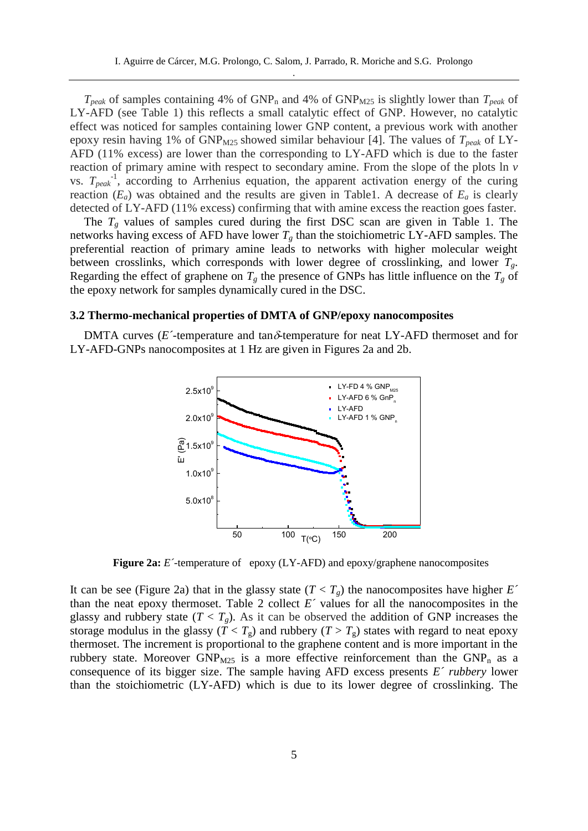$T_{peak}$  of samples containing 4% of GNP<sub>n</sub> and 4% of GNP<sub>M25</sub> is slightly lower than  $T_{peak}$  of LY-AFD (see Table 1) this reflects a small catalytic effect of GNP. However, no catalytic effect was noticed for samples containing lower GNP content, a previous work with another epoxy resin having 1% of  $GNP<sub>M25</sub>$  showed similar behaviour [4]. The values of  $T<sub>peak</sub>$  of LY-AFD (11% excess) are lower than the corresponding to LY-AFD which is due to the faster reaction of primary amine with respect to secondary amine. From the slope of the plots ln *v*  vs.  $T_{peak}^{-1}$ , according to Arrhenius equation, the apparent activation energy of the curing reaction  $(E_a)$  was obtained and the results are given in Table1. A decrease of  $E_a$  is clearly detected of LY-AFD (11% excess) confirming that with amine excess the reaction goes faster.

The  $T_g$  values of samples cured during the first DSC scan are given in Table 1. The networks having excess of AFD have lower  $T_g$  than the stoichiometric LY-AFD samples. The preferential reaction of primary amine leads to networks with higher molecular weight between crosslinks, which corresponds with lower degree of crosslinking, and lower *Tg*. Regarding the effect of graphene on  $T_g$  the presence of GNPs has little influence on the  $T_g$  of the epoxy network for samples dynamically cured in the DSC.

#### **3.2 Thermo-mechanical properties of DMTA of GNP/epoxy nanocomposites**

DMTA curves ( $E^{\text{-}}$ -temperature and tan $\delta$ -temperature for neat LY-AFD thermoset and for LY-AFD-GNPs nanocomposites at 1 Hz are given in Figures 2a and 2b.



**Figure 2a:** *E´-*temperature of epoxy (LY-AFD) and epoxy/graphene nanocomposites

It can be see (Figure 2a) that in the glassy state  $(T < T_g)$  the nanocomposites have higher *E*<sup> $\prime$ </sup> than the neat epoxy thermoset. Table 2 collect  $E<sup>2</sup>$  values for all the nanocomposites in the glassy and rubbery state  $(T < T_g)$ . As it can be observed the addition of GNP increases the storage modulus in the glassy ( $T < T_g$ ) and rubbery ( $T > T_g$ ) states with regard to neat epoxy thermoset. The increment is proportional to the graphene content and is more important in the rubbery state. Moreover  $GNP_{M25}$  is a more effective reinforcement than the  $GNP_n$  as a consequence of its bigger size. The sample having AFD excess presents *E´ rubbery* lower than the stoichiometric (LY-AFD) which is due to its lower degree of crosslinking. The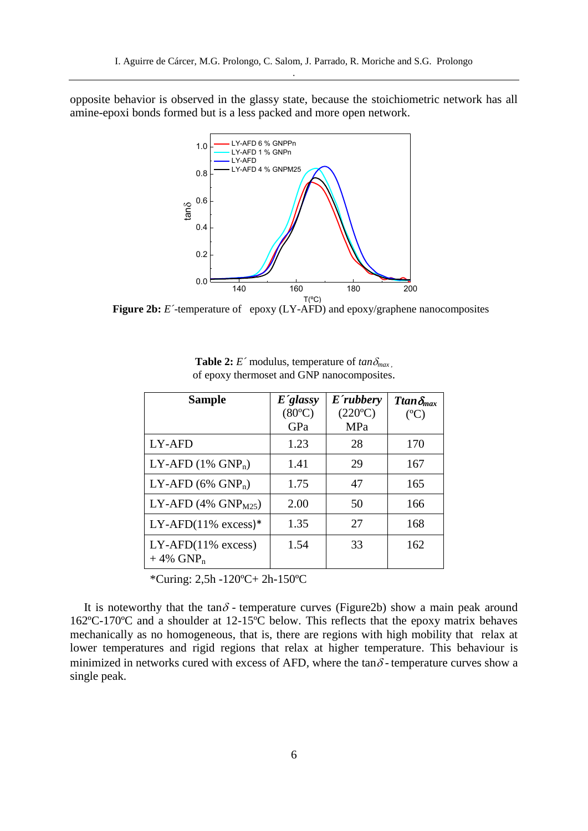opposite behavior is observed in the glassy state, because the stoichiometric network has all amine-epoxi bonds formed but is a less packed and more open network.



**Figure 2b:** *E´-*temperature of epoxy (LY-AFD) and epoxy/graphene nanocomposites

| <b>Sample</b>                                   | E'glassy        | E'rubbery        | Ttan $\delta_{max}$ |
|-------------------------------------------------|-----------------|------------------|---------------------|
|                                                 | $(80^{\circ}C)$ | $(220^{\circ}C)$ | $(C^{\circ}C)$      |
|                                                 | GPa             | MPa              |                     |
| LY-AFD                                          | 1.23            | 28               | 170                 |
| LY-AFD $(1\%$ GNP <sub>n</sub> )                | 1.41            | 29               | 167                 |
| LY-AFD $(6\%$ GNP <sub>n</sub> )                | 1.75            | 47               | 165                 |
| LY-AFD $(4\%$ GNP <sub>M25</sub> )              | 2.00            | 50               | 166                 |
| LY-AFD $(11\%$ excess)*                         | 1.35            | 27               | 168                 |
| $LY-AFD(11% excess)$<br>$+4\%$ GNP <sub>n</sub> | 1.54            | 33               | 162                 |

**Table 2:** *E* modulus, temperature of  $tan \delta_{max}$ , of epoxy thermoset and GNP nanocomposites.

\*Curing: 2,5h -120ºC+ 2h-150ºC

It is noteworthy that the tan $\delta$  - temperature curves (Figure2b) show a main peak around 162ºC-170ºC and a shoulder at 12-15ºC below. This reflects that the epoxy matrix behaves mechanically as no homogeneous, that is, there are regions with high mobility that relax at lower temperatures and rigid regions that relax at higher temperature. This behaviour is minimized in networks cured with excess of AFD, where the tan $\delta$ -temperature curves show a single peak.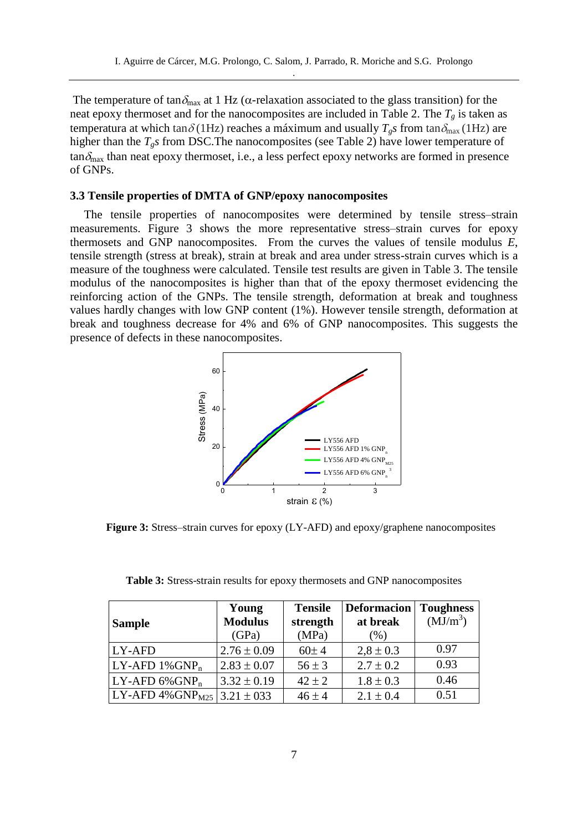The temperature of tan $\delta_{\text{max}}$  at 1 Hz ( $\alpha$ -relaxation associated to the glass transition) for the neat epoxy thermoset and for the nanocomposites are included in Table 2. The  $T_g$  is taken as temperatura at which tan  $\delta$  (1Hz) reaches a máximum and usually  $T_g$ *s* from tan $\delta_{\text{max}}$  (1Hz) are higher than the *Tgs* from DSC.The nanocomposites (see Table 2) have lower temperature of  $tan\delta_{\text{max}}$  than neat epoxy thermoset, i.e., a less perfect epoxy networks are formed in presence of GNPs.

## **3.3 Tensile properties of DMTA of GNP/epoxy nanocomposites**

The tensile properties of nanocomposites were determined by tensile stress–strain measurements. Figure 3 shows the more representative stress–strain curves for epoxy thermosets and GNP nanocomposites. From the curves the values of tensile modulus *E*, tensile strength (stress at break), strain at break and area under stress-strain curves which is a measure of the toughness were calculated. Tensile test results are given in Table 3. The tensile modulus of the nanocomposites is higher than that of the epoxy thermoset evidencing the reinforcing action of the GNPs. The tensile strength, deformation at break and toughness values hardly changes with low GNP content (1%). However tensile strength, deformation at break and toughness decrease for 4% and 6% of GNP nanocomposites. This suggests the presence of defects in these nanocomposites.



**Figure 3:** Stress–strain curves for epoxy (LY-AFD) and epoxy/graphene nanocomposites

| <b>Sample</b>                                    | Young<br><b>Modulus</b><br>(GPa) | <b>Tensile</b><br>strength<br>(MPa) | <b>Deformacion</b><br>at break<br>(% ) | <b>Toughness</b><br>$(MJ/m^3)$ |
|--------------------------------------------------|----------------------------------|-------------------------------------|----------------------------------------|--------------------------------|
| LY-AFD                                           | $2.76 \pm 0.09$                  | 60±4                                | $2.8 \pm 0.3$                          | 0.97                           |
| $LY-AFD 1\% GNP_n$                               | $2.83 \pm 0.07$                  | $56 \pm 3$                          | $2.7 \pm 0.2$                          | 0.93                           |
| $LY-AFD 6\% GNPn$                                | $3.32 \pm 0.19$                  | $42 \pm 2$                          | $1.8 \pm 0.3$                          | 0.46                           |
| LY-AFD $4\%$ GNP <sub>M25</sub>   3.21 $\pm$ 033 |                                  | $46 \pm 4$                          | $2.1 \pm 0.4$                          | 0.51                           |

**Table 3:** Stress-strain results for epoxy thermosets and GNP nanocomposites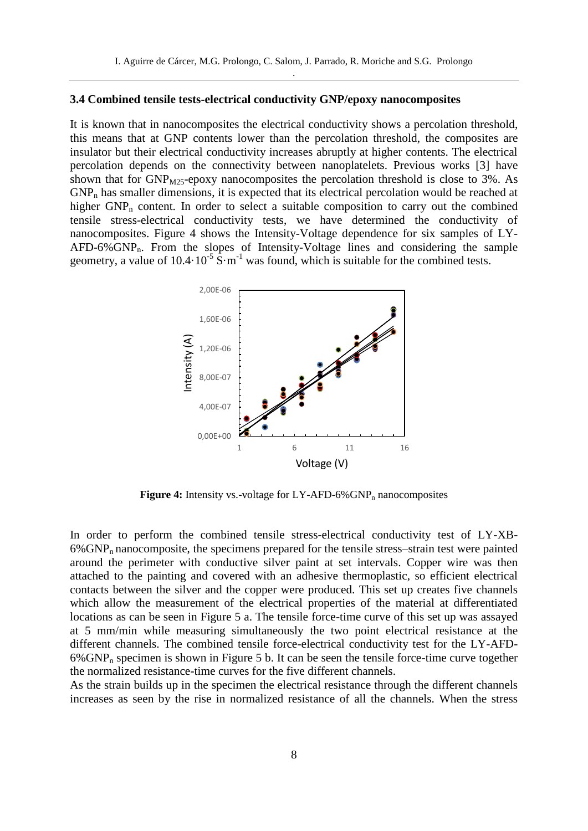#### **3.4 Combined tensile tests-electrical conductivity GNP/epoxy nanocomposites**

It is known that in nanocomposites the electrical conductivity shows a percolation threshold, this means that at GNP contents lower than the percolation threshold, the composites are insulator but their electrical conductivity increases abruptly at higher contents. The electrical percolation depends on the connectivity between nanoplatelets. Previous works [3] have shown that for  $GNP<sub>M25</sub>$ -epoxy nanocomposites the percolation threshold is close to 3%. As  $GNP<sub>n</sub>$  has smaller dimensions, it is expected that its electrical percolation would be reached at higher GNP<sub>n</sub> content. In order to select a suitable composition to carry out the combined tensile stress-electrical conductivity tests, we have determined the conductivity of nanocomposites. Figure 4 shows the Intensity-Voltage dependence for six samples of LY-AFD-6%GNPn. From the slopes of Intensity-Voltage lines and considering the sample geometry, a value of  $10.4 \cdot 10^{-5}$  S $\cdot$ m<sup>-1</sup> was found, which is suitable for the combined tests.



**Figure 4:** Intensity vs.-voltage for LY-AFD-6%GNP<sub>n</sub> nanocomposites

In order to perform the combined tensile stress-electrical conductivity test of LY-XB-6%GNPn nanocomposite, the specimens prepared for the tensile stress–strain test were painted around the perimeter with conductive silver paint at set intervals. Copper wire was then attached to the painting and covered with an adhesive thermoplastic, so efficient electrical contacts between the silver and the copper were produced. This set up creates five channels which allow the measurement of the electrical properties of the material at differentiated locations as can be seen in Figure 5 a. The tensile force-time curve of this set up was assayed at 5 mm/min while measuring simultaneously the two point electrical resistance at the different channels. The combined tensile force-electrical conductivity test for the LY-AFD- $6\%$  GNP<sub>n</sub> specimen is shown in Figure 5 b. It can be seen the tensile force-time curve together the normalized resistance-time curves for the five different channels.

As the strain builds up in the specimen the electrical resistance through the different channels increases as seen by the rise in normalized resistance of all the channels. When the stress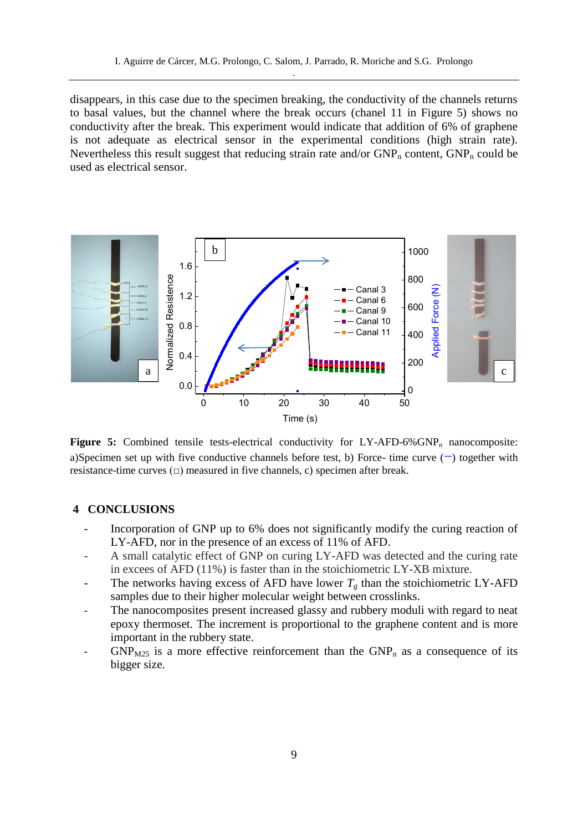disappears, in this case due to the specimen breaking, the conductivity of the channels returns to basal values, but the channel where the break occurs (chanel 11 in Figure 5) shows no conductivity after the break. This experiment would indicate that addition of 6% of graphene is not adequate as electrical sensor in the experimental conditions (high strain rate). Nevertheless this result suggest that reducing strain rate and/or  $GNP_n$  content,  $GNP_n$  could be used as electrical sensor.



**Figure 5:** Combined tensile tests-electrical conductivity for  $LY$ -AFD-6%GNP<sub>n</sub> nanocomposite: a)Specimen set up with five conductive channels before test, b) Force- time curve () together with resistance-time curves  $(\square)$  measured in five channels, c) specimen after break.

### **4 CONCLUSIONS**

- Incorporation of GNP up to 6% does not significantly modify the curing reaction of LY-AFD, nor in the presence of an excess of 11% of AFD.
- A small catalytic effect of GNP on curing LY-AFD was detected and the curing rate in excees of AFD (11%) is faster than in the stoichiometric LY-XB mixture.
- The networks having excess of AFD have lower  $T_g$  than the stoichiometric LY-AFD samples due to their higher molecular weight between crosslinks.
- The nanocomposites present increased glassy and rubbery moduli with regard to neat epoxy thermoset. The increment is proportional to the graphene content and is more important in the rubbery state.
- $GNP<sub>M25</sub>$  is a more effective reinforcement than the  $GNP<sub>n</sub>$  as a consequence of its bigger size.